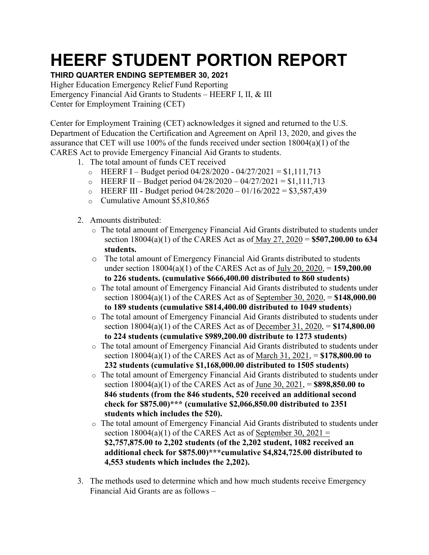## **HEERF STUDENT PORTION REPORT**

## **THIRD QUARTER ENDING SEPTEMBER 30, 2021**

Higher Education Emergency Relief Fund Reporting Emergency Financial Aid Grants to Students – HEERF I, II, & III Center for Employment Training (CET)

Center for Employment Training (CET) acknowledges it signed and returned to the U.S. Department of Education the Certification and Agreement on April 13, 2020, and gives the assurance that CET will use 100% of the funds received under section 18004(a)(1) of the CARES Act to provide Emergency Financial Aid Grants to students.

- 1. The total amount of funds CET received
	- $\circ$  HEERF I Budget period 04/28/2020 04/27/2021 = \$1,111,713
	- o HEERF II Budget period  $04/28/2020 04/27/2021 = $1,111,713$
	- $\circ$  HEERF III Budget period 04/28/2020 01/16/2022 = \$3,587,439
	- o Cumulative Amount \$5,810,865
- 2. Amounts distributed:
	- o The total amount of Emergency Financial Aid Grants distributed to students under section 18004(a)(1) of the CARES Act as of May 27, 2020 = **\$507,200.00 to 634 students.**
	- o The total amount of Emergency Financial Aid Grants distributed to students under section 18004(a)(1) of the CARES Act as of July 20, 2020, = **159,200.00 to 226 students. (cumulative \$666,400.00 distributed to 860 students)**
	- o The total amount of Emergency Financial Aid Grants distributed to students under section 18004(a)(1) of the CARES Act as of September 30, 2020, = **\$148,000.00 to 189 students (cumulative \$814,400.00 distributed to 1049 students**)
	- o The total amount of Emergency Financial Aid Grants distributed to students under section 18004(a)(1) of the CARES Act as of December 31, 2020, = **\$174,800.00 to 224 students (cumulative \$989,200.00 distribute to 1273 students)**
	- o The total amount of Emergency Financial Aid Grants distributed to students under section 18004(a)(1) of the CARES Act as of March 31, 2021, = **\$178,800.00 to 232 students (cumulative \$1,168,000.00 distributed to 1505 students)**
	- o The total amount of Emergency Financial Aid Grants distributed to students under section 18004(a)(1) of the CARES Act as of June 30, 2021, = **\$898,850.00 to 846 students (from the 846 students, 520 received an additional second check for \$875.00)\*\*\* (cumulative \$2,066,850.00 distributed to 2351 students which includes the 520).**
	- o The total amount of Emergency Financial Aid Grants distributed to students under section  $18004(a)(1)$  of the CARES Act as of September 30, 2021 = **\$2,757,875.00 to 2,202 students (of the 2,202 student, 1082 received an additional check for \$875.00)\*\*\*cumulative \$4,824,725.00 distributed to 4,553 students which includes the 2,202).**
- 3. The methods used to determine which and how much students receive Emergency Financial Aid Grants are as follows –